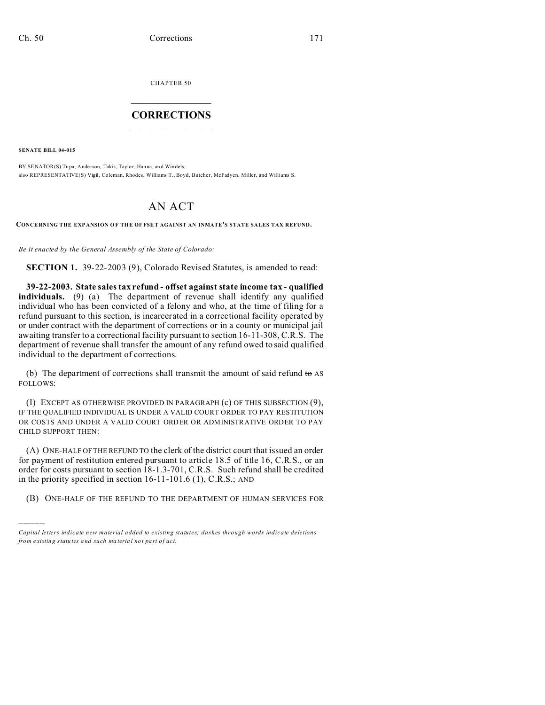CHAPTER 50  $\overline{\phantom{a}}$  , where  $\overline{\phantom{a}}$ 

## **CORRECTIONS**  $\frac{1}{2}$  ,  $\frac{1}{2}$  ,  $\frac{1}{2}$  ,  $\frac{1}{2}$  ,  $\frac{1}{2}$  ,  $\frac{1}{2}$

**SENATE BILL 04-015**

)))))

BY SENATOR(S) Tupa, Anderson, Takis, Taylor, Hanna, and Windels; also REPRESENTATIVE(S) Vigil, Coleman, Rhodes, Williams T., Boyd, Butcher, McFadyen, Miller, and Williams S.

## AN ACT

**CONCE RNING THE EXP ANSION O F THE OF FSET AGAINST AN INMATE'S STATE SALES TAX REFUND.**

*Be it enacted by the General Assembly of the State of Colorado:*

**SECTION 1.** 39-22-2003 (9), Colorado Revised Statutes, is amended to read:

**39-22-2003. State sales tax refund - offset against state income tax - qualified individuals.** (9) (a) The department of revenue shall identify any qualified individual who has been convicted of a felony and who, at the time of filing for a refund pursuant to this section, is incarcerated in a correctional facility operated by or under contract with the department of corrections or in a county or municipal jail awaiting transfer to a correctional facility pursuant to section 16-11-308, C.R.S. The department of revenue shall transfer the amount of any refund owed to said qualified individual to the department of corrections.

(b) The department of corrections shall transmit the amount of said refund  $\tau \sigma$  AS FOLLOWS:

(I) EXCEPT AS OTHERWISE PROVIDED IN PARAGRAPH (c) OF THIS SUBSECTION (9), IF THE QUALIFIED INDIVIDUAL IS UNDER A VALID COURT ORDER TO PAY RESTITUTION OR COSTS AND UNDER A VALID COURT ORDER OR ADMINISTRATIVE ORDER TO PAY CHILD SUPPORT THEN:

(A) ONE-HALF OF THE REFUND TO the clerk of the district court that issued an order for payment of restitution entered pursuant to article 18.5 of title 16, C.R.S., or an order for costs pursuant to section 18-1.3-701, C.R.S. Such refund shall be credited in the priority specified in section 16-11-101.6 (1), C.R.S.; AND

(B) ONE-HALF OF THE REFUND TO THE DEPARTMENT OF HUMAN SERVICES FOR

*Capital letters indicate new material added to existing statutes; dashes through words indicate deletions from e xistin g statu tes a nd such ma teria l no t pa rt of ac t.*